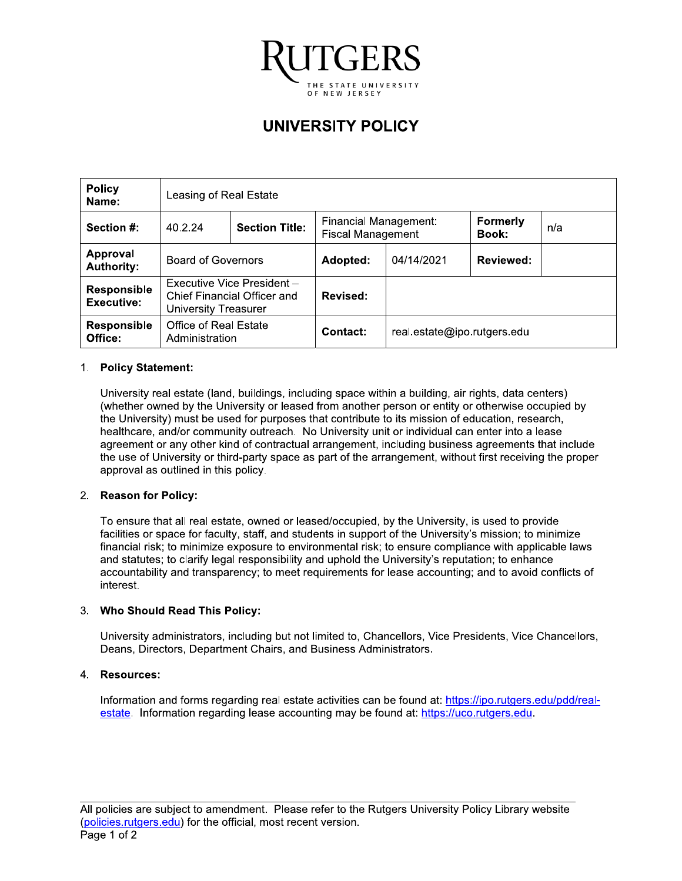

# **UNIVERSITY POLICY**

| <b>Policy</b><br>Name:           | Leasing of Real Estate                                                                   |  |                                                   |                             |                          |     |
|----------------------------------|------------------------------------------------------------------------------------------|--|---------------------------------------------------|-----------------------------|--------------------------|-----|
| Section #:                       | <b>Section Title:</b><br>40.2.24                                                         |  | Financial Management:<br><b>Fiscal Management</b> |                             | <b>Formerly</b><br>Book: | n/a |
| Approval<br><b>Authority:</b>    | <b>Board of Governors</b>                                                                |  | Adopted:                                          | 04/14/2021                  | <b>Reviewed:</b>         |     |
| Responsible<br><b>Executive:</b> | Executive Vice President -<br><b>Chief Financial Officer and</b><br>University Treasurer |  | Revised:                                          |                             |                          |     |
| <b>Responsible</b><br>Office:    | Office of Real Estate<br>Administration                                                  |  | Contact:                                          | real.estate@ipo.rutgers.edu |                          |     |

### 1. Policy Statement:

University real estate (land, buildings, including space within a building, air rights, data centers) (whether owned by the University or leased from another person or entity or otherwise occupied by the University) must be used for purposes that contribute to its mission of education, research, healthcare, and/or community outreach. No University unit or individual can enter into a lease agreement or any other kind of contractual arrangement, including business agreements that include the use of University or third-party space as part of the arrangement, without first receiving the proper approval as outlined in this policy.

#### 2. Reason for Policy:

To ensure that all real estate, owned or leased/occupied, by the University, is used to provide facilities or space for faculty, staff, and students in support of the University's mission; to minimize financial risk; to minimize exposure to environmental risk; to ensure compliance with applicable laws and statutes; to clarify legal responsibility and uphold the University's reputation; to enhance accountability and transparency; to meet requirements for lease accounting; and to avoid conflicts of interest.

#### 3. Who Should Read This Policy:

University administrators, including but not limited to, Chancellors, Vice Presidents, Vice Chancellors, Deans, Directors, Department Chairs, and Business Administrators.

#### 4. Resources:

Information and forms regarding real estate activities can be found at: https://ipo.rutgers.edu/pdd/realestate. Information regarding lease accounting may be found at: https://uco.rutgers.edu.